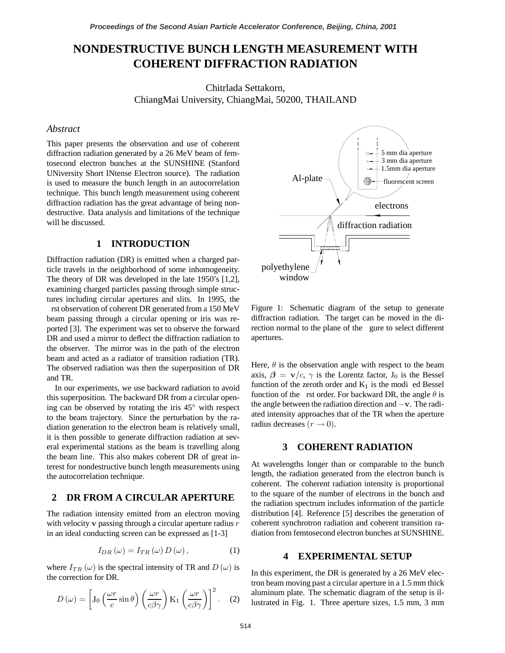# **NONDESTRUCTIVE BUNCH LENGTH MEASUREMENT WITH COHERENT DIFFRACTION RADIATION**

Chitrlada Settakorn, ChiangMai University, ChiangMai, 50200, THAILAND

### *Abstract*

This paper presents the observation and use of coherent diffraction radiation generated by a 26 MeV beam of femtosecond electron bunches at the SUNSHINE (Stanford UNiversity Short INtense Electron source). The radiation is used to measure the bunch length in an autocorrelation technique. This bunch length measurement using coherent diffraction radiation has the great advantage of being nondestructive. Data analysis and limitations of the technique will be discussed.

#### **1 INTRODUCTION**

Diffraction radiation (DR) is emitted when a charged particle travels in the neighborhood of some inhomogeneity. The theory of DR was developed in the late 1950's [1,2], examining charged particles passing through simple structures including circular apertures and slits. In 1995, the

rst observation of coherent DR generated from a 150 MeV beam passing through a circular opening or iris was reported [3]. The experiment was set to observe the forward DR and used a mirror to deflect the diffraction radiation to the observer. The mirror was in the path of the electron beam and acted as a radiator of transition radiation (TR). The observed radiation was then the superposition of DR and TR.

In our experiments, we use backward radiation to avoid this superposition. The backward DR from a circular opening can be observed by rotating the iris  $45^\circ$  with respect to the beam trajectory. Since the perturbation by the radiation generation to the electron beam is relatively small, it is then possible to generate diffraction radiation at several experimental stations as the beam is travelling along the beam line. This also makes coherent DR of great interest for nondestructive bunch length measurements using the autocorrelation technique.

#### **2 DR FROM A CIRCULAR APERTURE**

The radiation intensity emitted from an electron moving with velocity  $\bf{v}$  passing through a circular aperture radius  $\bf{r}$ in an ideal conducting screen can be expressed as [1-3]

$$
I_{DR}(\omega) = I_{TR}(\omega) D(\omega), \qquad (1)
$$

where  $I_{TR}(\omega)$  is the spectral intensity of TR and  $D(\omega)$  is the correction for DR.

$$
D(\omega) = \left[ J_0 \left( \frac{\omega r}{c} \sin \theta \right) \left( \frac{\omega r}{c \beta \gamma} \right) \mathcal{K}_1 \left( \frac{\omega r}{c \beta \gamma} \right) \right]^2.
$$
 (2)



Figure 1: Schematic diagram of the setup to generate diffraction radiation. The target can be moved in the direction normal to the plane of the gure to select different apertures.

Here,  $\theta$  is the observation angle with respect to the beam axis,  $\beta = \mathbf{v}/c$ ,  $\gamma$  is the Lorentz factor,  $J_0$  is the Bessel function of the zeroth order and  $K_1$  is the modi ed Bessel<br>function of the rate order For best word DP, the engls 0 is function of the rst order. For backward DR, the angle  $\theta$  is the angle between the radiation direction and  $-v$ . The radiated intensity approaches that of the TR when the aperture radius decreases  $(r \rightarrow 0)$ .

# **3 COHERENT RADIATION**

At wavelengths longer than or comparable to the bunch length, the radiation generated from the electron bunch is coherent. The coherent radiation intensity is proportional to the square of the number of electrons in the bunch and the radiation spectrum includes information of the particle distribution [4]. Reference [5] describes the generation of coherent synchrotron radiation and coherent transition radiation from femtosecond electron bunches at SUNSHINE.

#### **4 EXPERIMENTAL SETUP**

In this experiment, the DR is generated by a 26 MeV electron beam moving past a circular aperture in a 1.5 mm thick aluminum plate. The schematic diagram of the setup is illustrated in Fig. 1. Three aperture sizes, 1.5 mm, 3 mm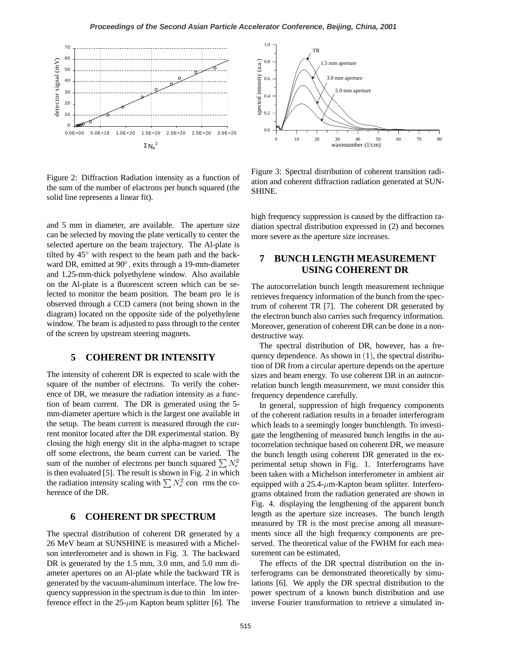

Figure 2: Diffraction Radiation intensity as a function of the sum of the number of elactrons per bunch squared (the solid line represents a linear fit).

and 5 mm in diameter, are available. The aperture size can be selected by moving the plate vertically to center the selected aperture on the beam trajectory. The Al-plate is tilted by  $45^{\circ}$  with respect to the beam path and the backward DR, emitted at  $90^{\circ}$ , exits through a 19-mm-diameter and 1.25-mm-thick polyethylene window. Also available on the Al-plate is a fluorescent screen which can be selected to monitor the beam position. The beam pro le is observed through a CCD camera (not being shown in the diagram) located on the opposite side of the polyethylene window. The beam is adjusted to pass through to the center of the screen by upstream steering magnets.

#### **5 COHERENT DR INTENSITY**

The intensity of coherent DR is expected to scale with the square of the number of electrons. To verify the coherence of DR, we measure the radiation intensity as a function of beam current. The DR is generated using the 5 mm-diameter aperture which is the largest one available in the setup. The beam current is measured through the current monitor located after the DR experimental station. By closing the high energy slit in the alpha-magnet to scrape off some electrons, the beam current can be varied. The sum of the number of electrons per bunch squared  $\sum N_e^2$ is then evaluated [5]. The result is shown in Fig. 2 in which the radiation intensity scaling with  $\sum N_e^2$  con rms the co-<br>because of the DP herence of the DR.

# **6 COHERENT DR SPECTRUM**

The spectral distribution of coherent DR generated by a 26 MeV beam at SUNSHINE is measured with a Michelson interferometer and is shown in Fig. 3. The backward DR is generated by the 1.5 mm, 3.0 mm, and 5.0 mm diameter apertures on an Al-plate while the backward TR is generated by the vacuum-aluminum interface. The low frequency suppression in the spectrum is due to thin lm interference effect in the  $25-\mu m$  Kapton beam splitter [6]. The



Figure 3: Spectral distribution of coherent transition radiation and coherent diffraction radiation generated at SUN-SHINE.

high frequency suppression is caused by the diffraction radiation spectral distribution expressed in (2) and becomes more severe as the aperture size increases.

# **7 BUNCH LENGTH MEASUREMENT USING COHERENT DR**

The autocorrelation bunch length measurement technique retrieves frequency information of the bunch from the spectrum of coherent TR [7]. The coherent DR generated by the electron bunch also carries such frequency information. Moreover, generation of coherent DR can be done in a nondestructive way.

The spectral distribution of DR, however, has a frequency dependence. As shown in  $(1)$ , the spectral distribution of DR from a circular aperture depends on the aperture sizes and beam energy. To use coherent DR in an autocorrelation bunch length measurement, we must consider this frequency dependence carefully.

In general, suppression of high frequency components of the coherent radiation results in a broader interferogram which leads to a seemingly longer bunchlength. To investigate the lengthening of measured bunch lengths in the autocorrelation technique based on coherent DR, we measure the bunch length using coherent DR generated in the experimental setup shown in Fig. 1. Interferograms have been taken with a Michelson interferometer in ambient air equipped with a  $25.4$ - $\mu$ m-Kapton beam splitter. Interferograms obtained from the radiation generated are shown in Fig. 4. displaying the lengthening of the apparent bunch length as the aperture size increases. The bunch length measured by TR is the most precise among all measurements since all the high frequency components are preserved. The theoretical value of the FWHM for each measurement can be estimated,

The effects of the DR spectral distribution on the interferograms can be demonstrated theoretically by simulations [6]. We apply the DR spectral distribution to the power spectrum of a known bunch distribution and use inverse Fourier transformation to retrieve a simulated in-